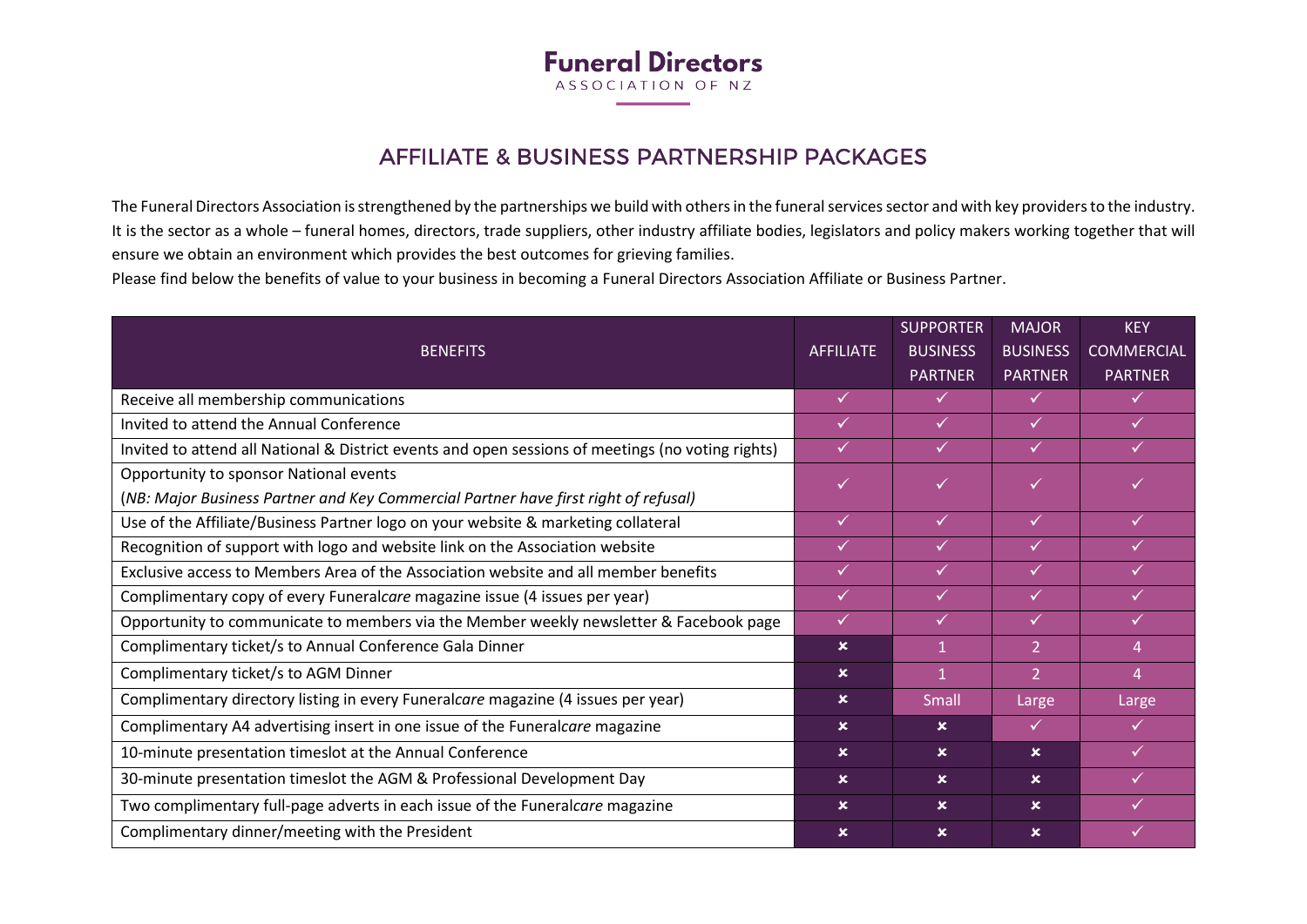

## AFFILIATE & BUSINESS PARTNERSHIP PACKAGES

The Funeral Directors Association is strengthened by the partnerships we build with others in the funeral services sector and with key providers to the industry. It is the sector as a whole – funeral homes, directors, trade suppliers, other industry affiliate bodies, legislators and policy makers working together that will ensure we obtain an environment which provides the best outcomes for grieving families.

Please find below the benefits of value to your business in becoming a Funeral Directors Association Affiliate or Business Partner.

|                                                                                                   |                           | <b>SUPPORTER</b>          | <b>MAJOR</b>             | <b>KEY</b>        |
|---------------------------------------------------------------------------------------------------|---------------------------|---------------------------|--------------------------|-------------------|
| <b>BENEFITS</b>                                                                                   | <b>AFFILIATE</b>          | <b>BUSINESS</b>           | <b>BUSINESS</b>          | <b>COMMERCIAL</b> |
|                                                                                                   |                           | <b>PARTNER</b>            | <b>PARTNER</b>           | <b>PARTNER</b>    |
| Receive all membership communications                                                             | $\checkmark$              | $\checkmark$              | $\checkmark$             | $\checkmark$      |
| Invited to attend the Annual Conference                                                           | ✓                         | ✓                         | ✓                        |                   |
| Invited to attend all National & District events and open sessions of meetings (no voting rights) | $\checkmark$              | $\checkmark$              | <b>ST</b>                | ST                |
| Opportunity to sponsor National events                                                            | $\checkmark$              | $\checkmark$              | ✓                        |                   |
| (NB: Major Business Partner and Key Commercial Partner have first right of refusal)               |                           |                           |                          |                   |
| Use of the Affiliate/Business Partner logo on your website & marketing collateral                 | ✓                         | $\checkmark$              | ✓                        |                   |
| Recognition of support with logo and website link on the Association website                      | ✓                         | ✓                         | ✓                        |                   |
| Exclusive access to Members Area of the Association website and all member benefits               | ✓                         | $\checkmark$              | $\checkmark$             |                   |
| Complimentary copy of every Funeralcare magazine issue (4 issues per year)                        | ✓                         | $\checkmark$              | ✓                        |                   |
| Opportunity to communicate to members via the Member weekly newsletter & Facebook page            | $\checkmark$              | $\checkmark$              | $\checkmark$             | ✓                 |
| Complimentary ticket/s to Annual Conference Gala Dinner                                           | $\boldsymbol{\mathsf{x}}$ | $\mathbf{1}$              | $\overline{2}$           | 4                 |
| Complimentary ticket/s to AGM Dinner                                                              | $\mathbf x$               | $\mathbf{1}$              | $\overline{\mathcal{L}}$ | 4                 |
| Complimentary directory listing in every Funeralcare magazine (4 issues per year)                 | $\boldsymbol{\mathsf{x}}$ | Small                     | Large                    | Large             |
| Complimentary A4 advertising insert in one issue of the Funeralcare magazine                      | $\boldsymbol{\mathsf{x}}$ | $\boldsymbol{\mathsf{x}}$ | $\checkmark$             | $\checkmark$      |
| 10-minute presentation timeslot at the Annual Conference                                          | $\boldsymbol{\mathsf{x}}$ | $\mathbf x$               | $\mathbf x$              | ✓                 |
| 30-minute presentation timeslot the AGM & Professional Development Day                            | $\boldsymbol{\mathsf{x}}$ | $\mathbf x$               | $\mathbf x$              |                   |
| Two complimentary full-page adverts in each issue of the Funeralcare magazine                     | $\mathbf x$               | $\mathbf x$               | $\mathbf x$              | $\checkmark$      |
| Complimentary dinner/meeting with the President                                                   | $\mathbf x$               | $\mathbf x$               | $\mathbf x$              |                   |